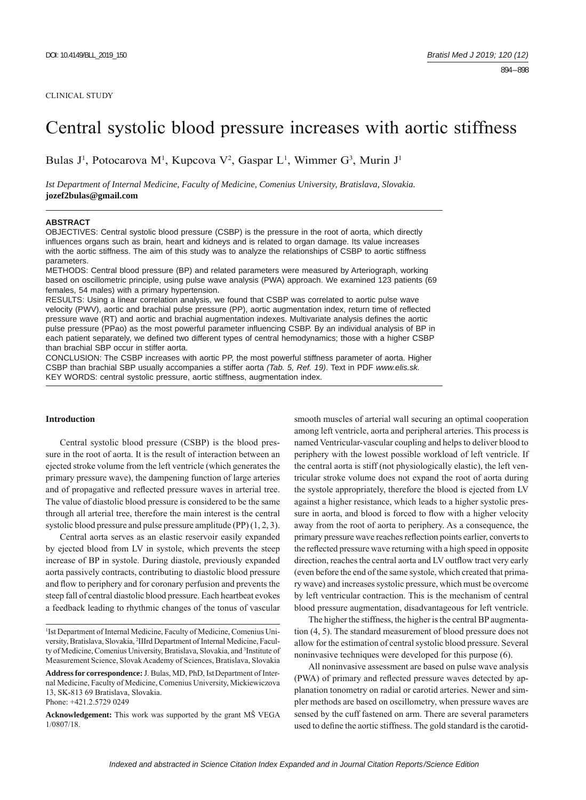#### CLINICAL STUDY

# Central systolic blood pressure increases with aortic stiffness

Bulas J<sup>1</sup>, Potocarova M<sup>1</sup>, Kupcova V<sup>2</sup>, Gaspar L<sup>1</sup>, Wimmer G<sup>3</sup>, Murin J<sup>1</sup>

*Ist Department of Internal Medicine, Faculty of Medicine, Comenius University, Bratislava, Slovakia.*  **jozef2bulas@gmail.com**

#### **ABSTRACT**

OBJECTIVES: Central systolic blood pressure (CSBP) is the pressure in the root of aorta, which directly influences organs such as brain, heart and kidneys and is related to organ damage. Its value increases with the aortic stiffness. The aim of this study was to analyze the relationships of CSBP to aortic stiffness parameters.

METHODS: Central blood pressure (BP) and related parameters were measured by Arteriograph, working based on oscillometric principle, using pulse wave analysis (PWA) approach. We examined 123 patients (69 females, 54 males) with a primary hypertension.

RESULTS: Using a linear correlation analysis, we found that CSBP was correlated to aortic pulse wave velocity (PWV), aortic and brachial pulse pressure (PP), aortic augmentation index, return time of reflected pressure wave (RT) and aortic and brachial augmentation indexes. Multivariate analysis defines the aortic pulse pressure (PPao) as the most powerful parameter influencing CSBP. By an individual analysis of BP in each patient separately, we defined two different types of central hemodynamics; those with a higher CSBP than brachial SBP occur in stiffer aorta.

CONCLUSION: The CSBP increases with aortic PP, the most powerful stiffness parameter of aorta. Higher CSBP than brachial SBP usually accompanies a stiffer aorta *(Tab. 5, Ref. 19)*. Text in PDF *www.elis.sk.* KEY WORDS: central systolic pressure, aortic stiffness, augmentation index.

## **Introduction**

Central systolic blood pressure (CSBP) is the blood pressure in the root of aorta. It is the result of interaction between an ejected stroke volume from the left ventricle (which generates the primary pressure wave), the dampening function of large arteries and of propagative and reflected pressure waves in arterial tree. The value of diastolic blood pressure is considered to be the same through all arterial tree, therefore the main interest is the central systolic blood pressure and pulse pressure amplitude (PP) (1, 2, 3).

Central aorta serves as an elastic reservoir easily expanded by ejected blood from LV in systole, which prevents the steep increase of BP in systole. During diastole, previously expanded aorta passively contracts, contributing to diastolic blood pressure and flow to periphery and for coronary perfusion and prevents the steep fall of central diastolic blood pressure. Each heartbeat evokes a feedback leading to rhythmic changes of the tonus of vascular

smooth muscles of arterial wall securing an optimal cooperation among left ventricle, aorta and peripheral arteries. This process is named Ventricular-vascular coupling and helps to deliver blood to periphery with the lowest possible workload of left ventricle. If the central aorta is stiff (not physiologically elastic), the left ventricular stroke volume does not expand the root of aorta during the systole appropriately, therefore the blood is ejected from LV against a higher resistance, which leads to a higher systolic pressure in aorta, and blood is forced to flow with a higher velocity away from the root of aorta to periphery. As a consequence, the primary pressure wave reaches reflection points earlier, converts to the reflected pressure wave returning with a high speed in opposite direction, reaches the central aorta and LV outflow tract very early (even before the end of the same systole, which created that primary wave) and increases systolic pressure, which must be overcome by left ventricular contraction. This is the mechanism of central blood pressure augmentation, disadvantageous for left ventricle.

The higher the stiffness, the higher is the central BP augmentation (4, 5). The standard measurement of blood pressure does not allow for the estimation of central systolic blood pressure. Several noninvasive techniques were developed for this purpose (6).

All noninvasive assessment are based on pulse wave analysis (PWA) of primary and reflected pressure waves detected by applanation tonometry on radial or carotid arteries. Newer and simpler methods are based on oscillometry, when pressure waves are sensed by the cuff fastened on arm. There are several parameters used to define the aortic stiffness. The gold standard is the carotid-

<sup>&</sup>lt;sup>1</sup>Ist Department of Internal Medicine, Faculty of Medicine, Comenius University, Bratislava, Slovakia, 2 IIIrd Department of Internal Medicine, Faculty of Medicine, Comenius University, Bratislava, Slovakia, and <sup>3</sup>Institute of Measurement Science, Slovak Academy of Sciences, Bratislava, Slovakia

**Address for correspondence:** J. Bulas, MD, PhD, IstDepartment of Internal Medicine, Faculty of Medicine, Comenius University, Mickiewiczova 13, SK-813 69 Bratislava, Slovakia. Phone: +421.2.5729.0249

**Acknowledgement:** This work was supported by the grant MŠ VEGA 1/0807/18.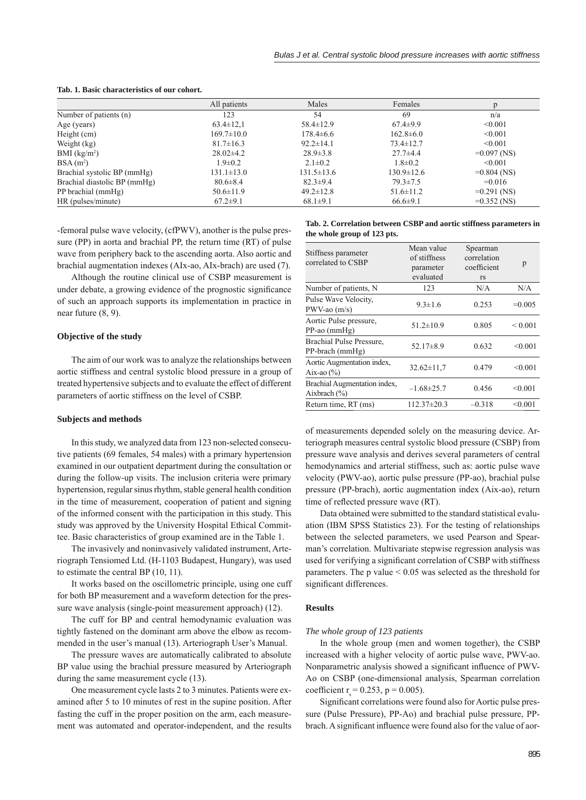|                              | All patients     | Males            | Females          |               |
|------------------------------|------------------|------------------|------------------|---------------|
| Number of patients (n)       | 123              | 54               | 69               | n/a           |
| Age (years)                  | $63.4 \pm 12.1$  | $58.4 \pm 12.9$  | $67.4 \pm 9.9$   | < 0.001       |
| Height (cm)                  | $169.7 \pm 10.0$ | $178.4 \pm 6.6$  | $162.8 \pm 6.0$  | < 0.001       |
| Weight (kg)                  | $81.7 \pm 16.3$  | $92.2 \pm 14.1$  | $73.4 \pm 12.7$  | < 0.001       |
| $BMI$ (kg/m <sup>2</sup> )   | $28.02\pm4.2$    | $28.9 \pm 3.8$   | $27.7 + 4.4$     | $=0.097$ (NS) |
| $BSA(m^2)$                   | $1.9 \pm 0.2$    | $2.1 \pm 0.2$    | $1.8 \pm 0.2$    | < 0.001       |
| Brachial systolic BP (mmHg)  | $131.1 \pm 13.0$ | $131.5 \pm 13.6$ | $130.9 \pm 12.6$ | $=0.804$ (NS) |
| Brachial diastolic BP (mmHg) | $80.6 \pm 8.4$   | $82.3 \pm 9.4$   | $79.3 \pm 7.5$   | $=0.016$      |
| PP brachial (mmHg)           | $50.6 \pm 11.9$  | $49.2 \pm 12.8$  | $51.6 \pm 11.2$  | $=0.291$ (NS) |
| HR (pulses/minute)           | $67.2 \pm 9.1$   | $68.1 \pm 9.1$   | $66.6 \pm 9.1$   | $=0.352$ (NS) |

#### **Tab. 1. Basic characteristics of our cohort.**

-femoral pulse wave velocity, (cfPWV), another is the pulse pressure (PP) in aorta and brachial PP, the return time (RT) of pulse wave from periphery back to the ascending aorta. Also aortic and brachial augmentation indexes (AIx-ao, AIx-brach) are used (7).

Although the routine clinical use of CSBP measurement is under debate, a growing evidence of the prognostic significance of such an approach supports its implementation in practice in near future (8, 9).

#### **Objective of the study**

The aim of our work was to analyze the relationships between aortic stiffness and central systolic blood pressure in a group of treated hypertensive subjects and to evaluate the effect of different parameters of aortic stiffness on the level of CSBP.

## **Subjects and methods**

In this study, we analyzed data from 123 non-selected consecutive patients (69 females, 54 males) with a primary hypertension examined in our outpatient department during the consultation or during the follow-up visits. The inclusion criteria were primary hypertension, regular sinus rhythm, stable general health condition in the time of measurement, cooperation of patient and signing of the informed consent with the participation in this study. This study was approved by the University Hospital Ethical Committee. Basic characteristics of group examined are in the Table 1.

The invasively and noninvasively validated instrument, Arteriograph Tensiomed Ltd. (H-1103 Budapest, Hungary), was used to estimate the central BP (10, 11).

It works based on the oscillometric principle, using one cuff for both BP measurement and a waveform detection for the pressure wave analysis (single-point measurement approach) (12).

The cuff for BP and central hemodynamic evaluation was tightly fastened on the dominant arm above the elbow as recommended in the user's manual (13). Arteriograph User's Manual.

The pressure waves are automatically calibrated to absolute BP value using the brachial pressure measured by Arteriograph during the same measurement cycle (13).

One measurement cycle lasts 2 to 3 minutes. Patients were examined after 5 to 10 minutes of rest in the supine position. After fasting the cuff in the proper position on the arm, each measurement was automated and operator-independent, and the results

|                             |  | Tab. 2. Correlation between CSBP and aortic stiffness parameters in |  |
|-----------------------------|--|---------------------------------------------------------------------|--|
| the whole group of 123 pts. |  |                                                                     |  |

|                                                  | Mean value       | Spearman    |              |
|--------------------------------------------------|------------------|-------------|--------------|
| Stiffness parameter<br>correlated to CSBP        | of stiffness     | correlation |              |
|                                                  | parameter        | coefficient | p            |
|                                                  | evaluated        | rs          |              |
| Number of patients, N                            | 123              | N/A         | N/A          |
| Pulse Wave Velocity.<br>$PWV$ -ao $(m/s)$        | $9.3 \pm 1.6$    | 0.253       | $=0.005$     |
| Aortic Pulse pressure,<br>$PP$ -ao (mm $Hg$ )    | $51.2 \pm 10.9$  | 0.805       | ${}_{0.001}$ |
| Brachial Pulse Pressure,<br>$PP-branch (mmHg)$   | 52.17 $\pm$ 8.9  | 0.632       | < 0.001      |
| Aortic Augmentation index.<br>Aix-ao $(\% )$     | $32.62 \pm 11.7$ | 0.479       | < 0.001      |
| Brachial Augmentation index,<br>Aixbrach $(\% )$ | $-1.68 \pm 25.7$ | 0.456       | < 0.001      |
| Return time, RT (ms)                             | $112.37\pm20.3$  | $-0.318$    | < 0.001      |

of measurements depended solely on the measuring device. Arteriograph measures central systolic blood pressure (CSBP) from pressure wave analysis and derives several parameters of central hemodynamics and arterial stiffness, such as: aortic pulse wave velocity (PWV-ao), aortic pulse pressure (PP-ao), brachial pulse pressure (PP-brach), aortic augmentation index (Aix-ao), return time of reflected pressure wave (RT).

Data obtained were submitted to the standard statistical evaluation (IBM SPSS Statistics 23). For the testing of relationships between the selected parameters, we used Pearson and Spearman's correlation. Multivariate stepwise regression analysis was used for verifying a significant correlation of CSBP with stiffness parameters. The p value  $< 0.05$  was selected as the threshold for significant differences.

#### **Results**

#### *The whole group of 123 patients*

In the whole group (men and women together), the CSBP increased with a higher velocity of aortic pulse wave, PWV-ao. Nonparametric analysis showed a significant influence of PWV-Ao on CSBP (one-dimensional analysis, Spearman correlation coefficient r<sub>s</sub> = 0.253, p = 0.005).

Significant correlations were found also for Aortic pulse pressure (Pulse Pressure), PP-Ao) and brachial pulse pressure, PPbrach. A significant influence were found also for the value of aor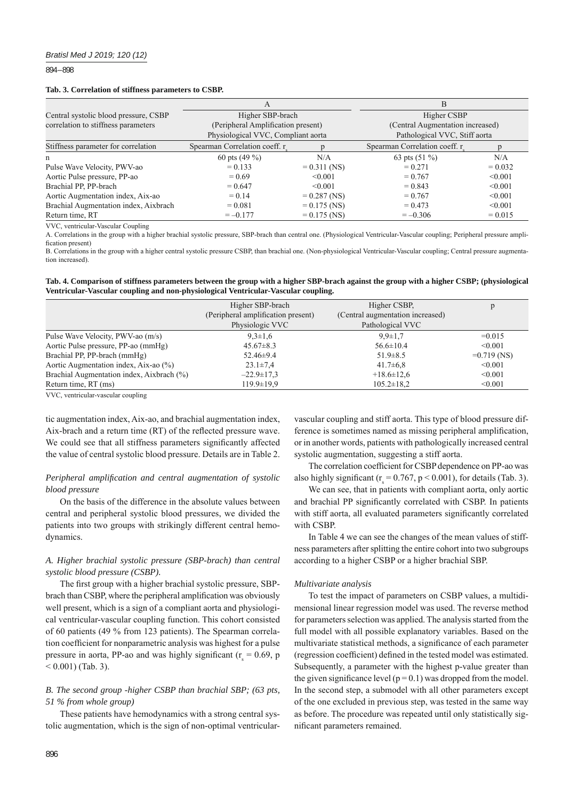894 – 898

#### **Tab. 3. Correlation of stiffness parameters to CSBP.**

|                                       | А                                                                        |                | B                                                                 |           |  |
|---------------------------------------|--------------------------------------------------------------------------|----------------|-------------------------------------------------------------------|-----------|--|
| Central systolic blood pressure, CSBP | Higher SBP-brach                                                         |                | Higher CSBP                                                       |           |  |
| correlation to stiffness parameters   | (Peripheral Amplification present)<br>Physiological VVC, Compliant aorta |                | (Central Augmentation increased)<br>Pathological VVC, Stiff aorta |           |  |
| Stiffness parameter for correlation   | Spearman Correlation coeff. r                                            |                | Spearman Correlation coeff. r                                     |           |  |
| n                                     | 60 pts $(49\%)$                                                          | N/A            | 63 pts $(51\%)$                                                   | N/A       |  |
| Pulse Wave Velocity, PWV-ao           | $= 0.133$                                                                | $= 0.311$ (NS) | $= 0.271$                                                         | $= 0.032$ |  |
| Aortic Pulse pressure, PP-ao          | $= 0.69$                                                                 | $\leq 0.001$   | $= 0.767$                                                         | < 0.001   |  |
| Brachial PP, PP-brach                 | $= 0.647$                                                                | $\leq 0.001$   | $= 0.843$                                                         | < 0.001   |  |
| Aortic Augmentation index, Aix-ao     | $= 0.14$                                                                 | $= 0.287$ (NS) | $= 0.767$                                                         | < 0.001   |  |
| Brachial Augmentation index, Aixbrach | $= 0.081$                                                                | $= 0.175$ (NS) | $= 0.473$                                                         | < 0.001   |  |
| Return time, RT                       | $=-0.177$                                                                | $= 0.175$ (NS) | $=-0.306$                                                         | $= 0.015$ |  |

VVC, ventricular-Vascular Coupling

A. Correlations in the group with a higher brachial systolic pressure, SBP-brach than central one. (Physiological Ventricular-Vascular coupling; Peripheral pressure amplification present)

B. Correlations in the group with a higher central systolic pressure CSBP, than brachial one. (Non-physiological Ventricular-Vascular coupling; Central pressure augmentation increased).

**Tab. 4. Comparison of stiffness parameters between the group with a higher SBP-brach against the group with a higher CSBP; (physiological Ventricular-Vascular coupling and non-physiological Ventricular-Vascular coupling.**

|                                           | Higher SBP-brach                   | Higher CSBP.                     |               |
|-------------------------------------------|------------------------------------|----------------------------------|---------------|
|                                           | (Peripheral amplification present) | (Central augmentation increased) |               |
|                                           | Physiologic VVC                    | Pathological VVC                 |               |
| Pulse Wave Velocity, PWV-ao (m/s)         | $9.3 \pm 1.6$                      | $9.9 \pm 1.7$                    | $=0.015$      |
| Aortic Pulse pressure, PP-ao (mmHg)       | $45.67\pm8.3$                      | $56.6 \pm 10.4$                  | < 0.001       |
| Brachial PP, PP-brach (mmHg)              | $52.46 \pm 9.4$                    | $51.9 \pm 8.5$                   | $=0.719$ (NS) |
| Aortic Augmentation index, Aix-ao (%)     | $23.1 \pm 7.4$                     | $41.7\pm 6.8$                    | $\leq 0.001$  |
| Brachial Augmentation index, Aixbrach (%) | $-22.9 \pm 17.3$                   | $+18.6 \pm 12.6$                 | < 0.001       |
| Return time, RT (ms)                      | $119.9 \pm 19.9$                   | $105.2 \pm 18.2$                 | < 0.001       |
|                                           |                                    |                                  |               |

VVC, ventricular-vascular coupling

tic augmentation index, Aix-ao, and brachial augmentation index, Aix-brach and a return time (RT) of the reflected pressure wave. We could see that all stiffness parameters significantly affected the value of central systolic blood pressure. Details are in Table 2.

## *Peripheral amplification and central augmentation of systolic blood pressure*

On the basis of the difference in the absolute values between central and peripheral systolic blood pressures, we divided the patients into two groups with strikingly different central hemodynamics.

## *A. Higher brachial systolic pressure (SBP-brach) than central systolic blood pressure (CSBP).*

The first group with a higher brachial systolic pressure, SBPbrach than CSBP, where the peripheral amplification was obviously well present, which is a sign of a compliant aorta and physiological ventricular-vascular coupling function. This cohort consisted of 60 patients (49 % from 123 patients). The Spearman correlation coefficient for nonparametric analysis was highest for a pulse pressure in aorta, PP-ao and was highly significant ( $r_s = 0.69$ , p  $< 0.001$ ) (Tab. 3).

## *B. The second group -higher CSBP than brachial SBP; (63 pts, 51 % from whole group)*

These patients have hemodynamics with a strong central systolic augmentation, which is the sign of non-optimal ventricular-

vascular coupling and stiff aorta. This type of blood pressure difference is sometimes named as missing peripheral amplification, or in another words, patients with pathologically increased central systolic augmentation, suggesting a stiff aorta.

The correlation coefficient for CSBP dependence on PP-ao was also highly significant ( $r_s = 0.767$ ,  $p < 0.001$ ), for details (Tab. 3).

We can see, that in patients with compliant aorta, only aortic and brachial PP significantly correlated with CSBP. In patients with stiff aorta, all evaluated parameters significantly correlated with CSBP.

In Table 4 we can see the changes of the mean values of stiffness parameters after splitting the entire cohort into two subgroups according to a higher CSBP or a higher brachial SBP.

## *Multivariate analysis*

To test the impact of parameters on CSBP values, a multidimensional linear regression model was used. The reverse method for parameters selection was applied. The analysis started from the full model with all possible explanatory variables. Based on the multivariate statistical methods, a significance of each parameter (regression coefficient) defined in the tested model was estimated. Subsequently, a parameter with the highest p-value greater than the given significance level ( $p = 0.1$ ) was dropped from the model. In the second step, a submodel with all other parameters except of the one excluded in previous step, was tested in the same way as before. The procedure was repeated until only statistically significant parameters remained.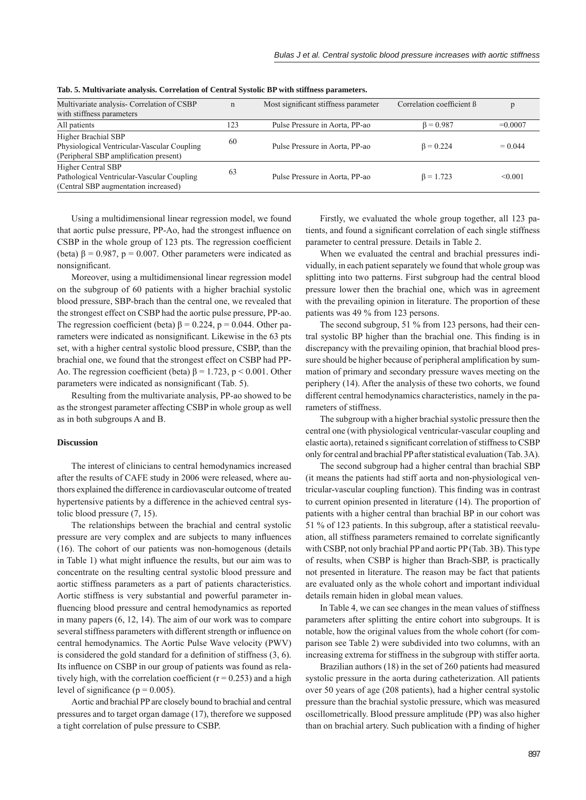| Multivariate analysis- Correlation of CSBP  | $\mathbf n$ | Most significant stiffness parameter | Correlation coefficient B |           |
|---------------------------------------------|-------------|--------------------------------------|---------------------------|-----------|
| with stiffness parameters                   |             |                                      |                           |           |
| All patients                                | 123         | Pulse Pressure in Aorta, PP-ao       | $\beta = 0.987$           | $=0.0007$ |
| Higher Brachial SBP                         | 60          |                                      |                           |           |
| Physiological Ventricular-Vascular Coupling |             | Pulse Pressure in Aorta, PP-ao       | $\beta = 0.224$           | $= 0.044$ |
| (Peripheral SBP amplification present)      |             |                                      |                           |           |
| Higher Central SBP                          |             |                                      |                           |           |
| Pathological Ventricular-Vascular Coupling  | 63          | Pulse Pressure in Aorta, PP-ao       | $\beta = 1.723$           | < 0.001   |
| (Central SBP augmentation increased)        |             |                                      |                           |           |

**Tab. 5. Multivariate analysis. Correlation of Central Systolic BP with stiffness parameters.**

Using a multidimensional linear regression model, we found that aortic pulse pressure, PP-Ao, had the strongest influence on CSBP in the whole group of 123 pts. The regression coefficient (beta)  $\beta$  = 0.987, p = 0.007. Other parameters were indicated as nonsignificant.

Moreover, using a multidimensional linear regression model on the subgroup of 60 patients with a higher brachial systolic blood pressure, SBP-brach than the central one, we revealed that the strongest effect on CSBP had the aortic pulse pressure, PP-ao. The regression coefficient (beta)  $\beta = 0.224$ , p = 0.044. Other parameters were indicated as nonsignificant. Likewise in the 63 pts set, with a higher central systolic blood pressure, CSBP, than the brachial one, we found that the strongest effect on CSBP had PP-Ao. The regression coefficient (beta)  $\beta = 1.723$ , p < 0.001. Other parameters were indicated as nonsignificant (Tab. 5).

Resulting from the multivariate analysis, PP-ao showed to be as the strongest parameter affecting CSBP in whole group as well as in both subgroups A and B.

## **Discussion**

The interest of clinicians to central hemodynamics increased after the results of CAFE study in 2006 were released, where authors explained the difference in cardiovascular outcome of treated hypertensive patients by a difference in the achieved central systolic blood pressure (7, 15).

The relationships between the brachial and central systolic pressure are very complex and are subjects to many influences (16). The cohort of our patients was non-homogenous (details in Table 1) what might influence the results, but our aim was to concentrate on the resulting central systolic blood pressure and aortic stiffness parameters as a part of patients characteristics. Aortic stiffness is very substantial and powerful parameter influencing blood pressure and central hemodynamics as reported in many papers (6, 12, 14). The aim of our work was to compare several stiffness parameters with different strength or influence on central hemodynamics. The Aortic Pulse Wave velocity (PWV) is considered the gold standard for a definition of stiffness  $(3, 6)$ . Its influence on CSBP in our group of patients was found as relatively high, with the correlation coefficient ( $r = 0.253$ ) and a high level of significance ( $p = 0.005$ ).

Aortic and brachial PP are closely bound to brachial and central pressures and to target organ damage (17), therefore we supposed a tight correlation of pulse pressure to CSBP.

Firstly, we evaluated the whole group together, all 123 patients, and found a significant correlation of each single stiffness parameter to central pressure. Details in Table 2.

When we evaluated the central and brachial pressures individually, in each patient separately we found that whole group was splitting into two patterns. First subgroup had the central blood pressure lower then the brachial one, which was in agreement with the prevailing opinion in literature. The proportion of these patients was 49 % from 123 persons.

The second subgroup, 51 % from 123 persons, had their central systolic BP higher than the brachial one. This finding is in discrepancy with the prevailing opinion, that brachial blood pressure should be higher because of peripheral amplification by summation of primary and secondary pressure waves meeting on the periphery (14). After the analysis of these two cohorts, we found different central hemodynamics characteristics, namely in the parameters of stiffness.

The subgroup with a higher brachial systolic pressure then the central one (with physiological ventricular-vascular coupling and elastic aorta), retained s significant correlation of stiffness to CSBP only for central and brachial PP after statistical evaluation (Tab. 3A).

The second subgroup had a higher central than brachial SBP (it means the patients had stiff aorta and non-physiological ventricular-vascular coupling function). This finding was in contrast to current opinion presented in literature (14). The proportion of patients with a higher central than brachial BP in our cohort was 51 % of 123 patients. In this subgroup, after a statistical reevaluation, all stiffness parameters remained to correlate significantly with CSBP, not only brachial PP and aortic PP (Tab. 3B). This type of results, when CSBP is higher than Brach-SBP, is practically not presented in literature. The reason may be fact that patients are evaluated only as the whole cohort and important individual details remain hiden in global mean values.

In Table 4, we can see changes in the mean values of stiffness parameters after splitting the entire cohort into subgroups. It is notable, how the original values from the whole cohort (for comparison see Table 2) were subdivided into two columns, with an increasing extrema for stiffness in the subgroup with stiffer aorta.

Brazilian authors (18) in the set of 260 patients had measured systolic pressure in the aorta during catheterization. All patients over 50 years of age (208 patients), had a higher central systolic pressure than the brachial systolic pressure, which was measured oscillometrically. Blood pressure amplitude (PP) was also higher than on brachial artery. Such publication with a finding of higher